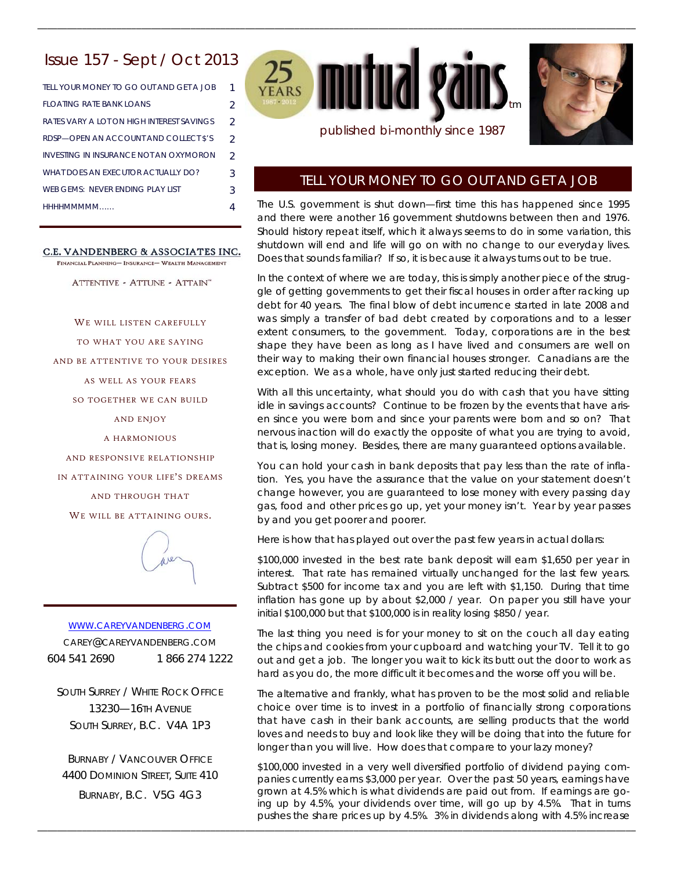# Issue 157 - Sept / Oct 2013

TELL YOUR MONEY TO GO OUT AND GET A JOB 1 FLOATING RATE BANK LOANS 2 RATES VARY A LOT ON HIGH INTEREST SAVINGS 2 RDSP-OPEN AN ACCOUNT AND COLLECT \$'S 2 INVESTING IN INSURANCE NOT AN OXYMORON 2 WEB GEMS: NEVER ENDING PLAY LIST 3 HHHHMMMMM…… 4 WHAT DOES AN EXECUTOR ACTUALLY DO? 3

#### C.E. VANDENBERG & ASSOCIATES INC.

FINANCIAL PLANNING- INSURANCE- WEALTH MANAGEMENT

ATTENTIVE - ATTUNE - ATTAIN"

WE WILL LISTEN CAREFULLY TO WHAT YOU ARE SAYING AND BE ATTENTIVE TO YOUR DESIRES AS WELL AS YOUR FEARS SO TOGETHER WE CAN BUILD AND ENJOY A HARMONIOUS AND RESPONSIVE RELATIONSHIP IN ATTAINING YOUR LIFE'S DREAMS AND THROUGH THAT WE WILL BE ATTAINING OURS.



# WWW.CAREYVANDENBERG.COM CAREY@CAREYVANDENBERG.COM 604 541 2690 1 866 274 1222

SOUTH SURREY / WHITE ROCK OFFICE 13230—16TH AVENUE SOUTH SURREY, B.C. V4A 1P3

BURNABY / VANCOUVER OFFICE 4400 DOMINION STREET, SUITE 410 BURNABY, B.C. V5G 4G3



\_\_\_\_\_\_\_\_\_\_\_\_\_\_\_\_\_\_\_\_\_\_\_\_\_\_\_\_\_\_\_\_\_\_\_\_\_\_\_\_\_\_\_\_\_\_\_\_\_\_\_\_\_\_\_\_\_\_\_\_\_\_\_\_\_\_\_\_\_\_\_\_\_\_\_\_\_\_\_\_\_\_\_\_\_\_\_\_\_\_\_\_\_\_\_\_\_\_\_\_\_\_\_\_\_\_\_\_\_\_\_\_\_\_\_\_\_\_\_\_\_



### published bi-monthly since 1987

#### TELL YOUR MONEY TO GO OUT AND GET A JOB

The U.S. government is shut down—first time this has happened since 1995 and there were another 16 government shutdowns between then and 1976. Should history repeat itself, which it always seems to do in some variation, this shutdown will end and life will go on with no change to our everyday lives. Does that sounds familiar? If so, it is because it always turns out to be true.

In the context of where we are today, this is simply another piece of the struggle of getting governments to get their fiscal houses in order after racking up debt for 40 years. The final blow of debt incurrence started in late 2008 and was simply a transfer of bad debt created by corporations and to a lesser extent consumers, to the government. Today, corporations are in the best shape they have been as long as I have lived and consumers are well on their way to making their own financial houses stronger. Canadians are the exception. We as a whole, have only just started reducing their debt.

With all this uncertainty, what should you do with cash that you have sitting idle in savings accounts? Continue to be frozen by the events that have arisen since you were born and since your parents were born and so on? That nervous inaction will do exactly the opposite of what you are trying to avoid, that is, losing money. Besides, there are many guaranteed options available.

You can hold your cash in bank deposits that pay less than the rate of inflation. Yes, you have the assurance that the value on your statement doesn't change however, you are guaranteed to lose money with every passing day gas, food and other prices go up, yet your money isn't. Year by year passes by and you get poorer and poorer.

Here is how that has played out over the past few years in actual dollars:

\$100,000 invested in the best rate bank deposit will earn \$1,650 per year in interest. That rate has remained virtually unchanged for the last few years. Subtract \$500 for income tax and you are left with \$1,150. During that time inflation has gone up by about \$2,000 / year. On paper you still have your initial \$100,000 but that \$100,000 is in reality losing \$850 / year.

The last thing you need is for your money to sit on the couch all day eating the chips and cookies from your cupboard and watching your TV. Tell it to go out and get a job. The longer you wait to kick its butt out the door to work as hard as you do, the more difficult it becomes and the worse off you will be.

The alternative and frankly, what has proven to be the most solid and reliable choice over time is to invest in a portfolio of financially strong corporations that have cash in their bank accounts, are selling products that the world loves and needs to buy and look like they will be doing that into the future for longer than you will live. How does that compare to your lazy money?

\$100,000 invested in a very well diversified portfolio of dividend paying companies currently earns \$3,000 per year. Over the past 50 years, earnings have grown at 4.5% which is what dividends are paid out from. If earnings are going up by 4.5%, your dividends over time, will go up by 4.5%. That in turns pushes the share prices up by 4.5%. 3% in dividends along with 4.5% increase

\_\_\_\_\_\_\_\_\_\_\_\_\_\_\_\_\_\_\_\_\_\_\_\_\_\_\_\_\_\_\_\_\_\_\_\_\_\_\_\_\_\_\_\_\_\_\_\_\_\_\_\_\_\_\_\_\_\_\_\_\_\_\_\_\_\_\_\_\_\_\_\_\_\_\_\_\_\_\_\_\_\_\_\_\_\_\_\_\_\_\_\_\_\_\_\_\_\_\_\_\_\_\_\_\_\_\_\_\_\_\_\_\_\_\_\_\_\_\_\_\_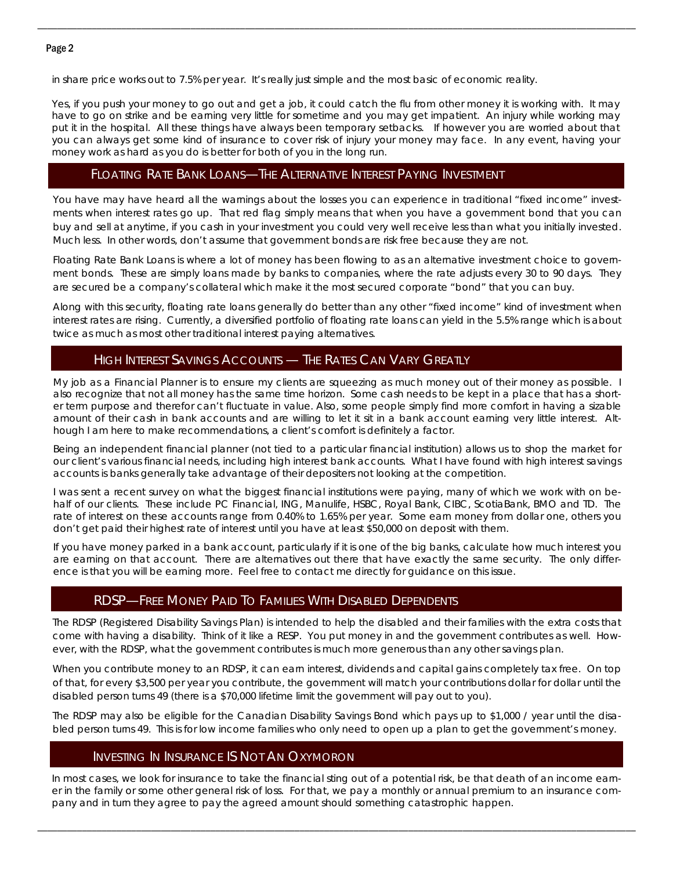#### Page 2

in share price works out to 7.5% per year. It's really just simple and the most basic of economic reality.

Yes, if you push your money to go out and get a job, it could catch the flu from other money it is working with. It may have to go on strike and be earning very little for sometime and you may get impatient. An injury while working may put it in the hospital. All these things have always been temporary setbacks. If however you are worried about that you can always get some kind of insurance to cover risk of injury your money may face. In any event, having your money work as hard as you do is better for both of you in the long run.

\_\_\_\_\_\_\_\_\_\_\_\_\_\_\_\_\_\_\_\_\_\_\_\_\_\_\_\_\_\_\_\_\_\_\_\_\_\_\_\_\_\_\_\_\_\_\_\_\_\_\_\_\_\_\_\_\_\_\_\_\_\_\_\_\_\_\_\_\_\_\_\_\_\_\_\_\_\_\_\_\_\_\_\_\_\_\_\_\_\_\_\_\_\_\_\_\_\_\_\_\_\_\_\_\_\_\_\_\_\_\_\_\_\_\_\_\_\_\_\_\_

# FLOATING RATE BANK LOANS—THE ALTERNATIVE INTEREST PAYING INVESTMENT

You have may have heard all the warnings about the losses you can experience in traditional "fixed income" investments when interest rates go up. That red flag simply means that when you have a government bond that you can buy and sell at anytime, if you cash in your investment you could very well receive less than what you initially invested. Much less. In other words, don't assume that government bonds are risk free because they are not.

Floating Rate Bank Loans is where a lot of money has been flowing to as an alternative investment choice to government bonds. These are simply loans made by banks to companies, where the rate adjusts every 30 to 90 days. They are secured be a company's collateral which make it the most secured corporate "bond" that you can buy.

Along with this security, floating rate loans generally do better than any other "fixed income" kind of investment when interest rates are rising. Currently, a diversified portfolio of floating rate loans can yield in the 5.5% range which is about twice as much as most other traditional interest paying alternatives.

### HIGH INTEREST SAVINGS ACCOUNTS — THE RATES CAN VARY GREATLY

My job as a Financial Planner is to ensure my clients are squeezing as much money out of their money as possible. I also recognize that not all money has the same time horizon. Some cash needs to be kept in a place that has a shorter term purpose and therefor can't fluctuate in value. Also, some people simply find more comfort in having a sizable amount of their cash in bank accounts and are willing to let it sit in a bank account earning very little interest. Although I am here to make recommendations, a client's comfort is definitely a factor.

Being an independent financial planner (not tied to a particular financial institution) allows us to shop the market for our client's various financial needs, including high interest bank accounts. What I have found with high interest savings accounts is banks generally take advantage of their depositers not looking at the competition.

I was sent a recent survey on what the biggest financial institutions were paying, many of which we work with on behalf of our clients. These include PC Financial, ING, Manulife, HSBC, Royal Bank, CIBC, ScotiaBank, BMO and TD. The rate of interest on these accounts range from 0.40% to 1.65% per year. Some earn money from dollar one, others you don't get paid their highest rate of interest until you have at least \$50,000 on deposit with them.

If you have money parked in a bank account, particularly if it is one of the big banks, calculate how much interest you are earning on that account. There are alternatives out there that have exactly the same security. The only difference is that you will be earning more. Feel free to contact me directly for guidance on this issue.

### RDSP—FREE MONEY PAID TO FAMILIES WITH DISABLED DEPENDENTS

The RDSP (Registered Disability Savings Plan) is intended to help the disabled and their families with the extra costs that come with having a disability. Think of it like a RESP. You put money in and the government contributes as well. However, with the RDSP, what the government contributes is much more generous than any other savings plan.

When you contribute money to an RDSP, it can earn interest, dividends and capital gains completely tax free. On top of that, for every \$3,500 per year you contribute, the government will match your contributions dollar for dollar until the disabled person turns 49 (there is a \$70,000 lifetime limit the government will pay out to you).

The RDSP may also be eligible for the Canadian Disability Savings Bond which pays up to \$1,000 / year until the disabled person turns 49. This is for low income families who only need to open up a plan to get the government's money.

### INVESTING IN INSURANCE IS NOT AN OXYMORON

In most cases, we look for insurance to take the financial sting out of a potential risk, be that death of an income earner in the family or some other general risk of loss. For that, we pay a monthly or annual premium to an insurance company and in turn they agree to pay the agreed amount should something catastrophic happen.

\_\_\_\_\_\_\_\_\_\_\_\_\_\_\_\_\_\_\_\_\_\_\_\_\_\_\_\_\_\_\_\_\_\_\_\_\_\_\_\_\_\_\_\_\_\_\_\_\_\_\_\_\_\_\_\_\_\_\_\_\_\_\_\_\_\_\_\_\_\_\_\_\_\_\_\_\_\_\_\_\_\_\_\_\_\_\_\_\_\_\_\_\_\_\_\_\_\_\_\_\_\_\_\_\_\_\_\_\_\_\_\_\_\_\_\_\_\_\_\_\_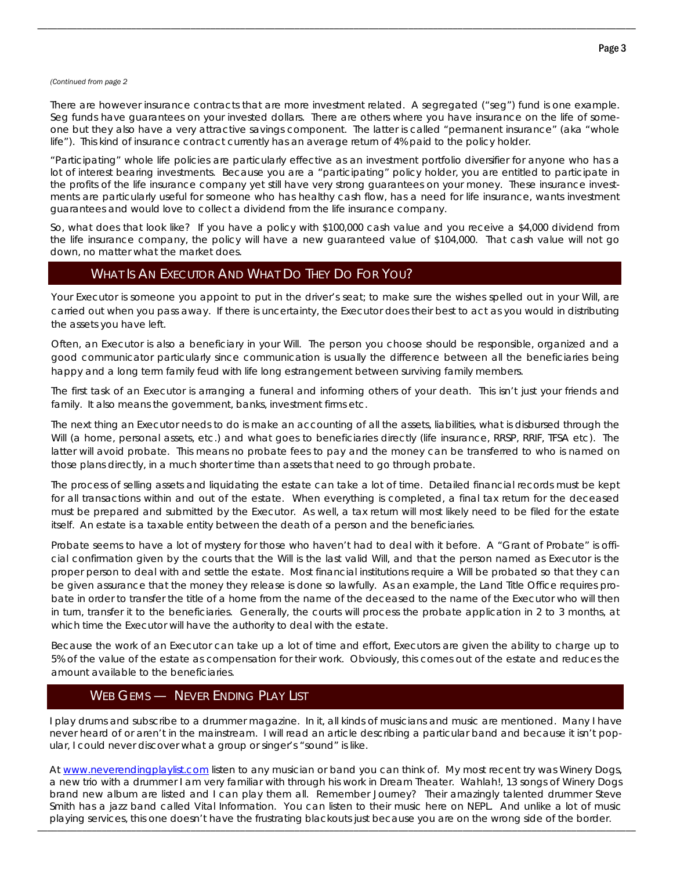#### *(Continued from page 2*

There are however insurance contracts that are more investment related. A segregated ("seg") fund is one example. Seg funds have guarantees on your invested dollars. There are others where you have insurance on the life of someone but they also have a very attractive savings component. The latter is called "permanent insurance" (aka "whole life"). This kind of insurance contract currently has an average return of 4% paid to the policy holder.

\_\_\_\_\_\_\_\_\_\_\_\_\_\_\_\_\_\_\_\_\_\_\_\_\_\_\_\_\_\_\_\_\_\_\_\_\_\_\_\_\_\_\_\_\_\_\_\_\_\_\_\_\_\_\_\_\_\_\_\_\_\_\_\_\_\_\_\_\_\_\_\_\_\_\_\_\_\_\_\_\_\_\_\_\_\_\_\_\_\_\_\_\_\_\_\_\_\_\_\_\_\_\_\_\_\_\_\_\_\_\_\_\_\_\_\_\_\_\_\_\_

"Participating" whole life policies are particularly effective as an investment portfolio diversifier for anyone who has a lot of interest bearing investments. Because you are a "participating" policy holder, you are entitled to participate in the profits of the life insurance company yet still have very strong guarantees on your money. These insurance investments are particularly useful for someone who has healthy cash flow, has a need for life insurance, wants investment guarantees and would love to collect a dividend from the life insurance company.

So, what does that look like? If you have a policy with \$100,000 cash value and you receive a \$4,000 dividend from the life insurance company, the policy will have a new guaranteed value of \$104,000. That cash value will not go down, no matter what the market does.

# WHAT IS AN EXECUTOR AND WHAT DO THEY DO FOR YOU?

Your Executor is someone you appoint to put in the driver's seat; to make sure the wishes spelled out in your Will, are carried out when you pass away. If there is uncertainty, the Executor does their best to act as you would in distributing the assets you have left.

Often, an Executor is also a beneficiary in your Will. The person you choose should be responsible, organized and a good communicator particularly since communication is usually the difference between all the beneficiaries being happy and a long term family feud with life long estrangement between surviving family members.

The first task of an Executor is arranging a funeral and informing others of your death. This isn't just your friends and family. It also means the government, banks, investment firms etc.

The next thing an Executor needs to do is make an accounting of all the assets, liabilities, what is disbursed through the Will (a home, personal assets, etc.) and what goes to beneficiaries directly (life insurance, RRSP, RRIF, TFSA etc). The latter will avoid probate. This means no probate fees to pay and the money can be transferred to who is named on those plans directly, in a much shorter time than assets that need to go through probate.

The process of selling assets and liquidating the estate can take a lot of time. Detailed financial records must be kept for all transactions within and out of the estate. When everything is completed, a final tax return for the deceased must be prepared and submitted by the Executor. As well, a tax return will most likely need to be filed for the estate itself. An estate is a taxable entity between the death of a person and the beneficiaries.

Probate seems to have a lot of mystery for those who haven't had to deal with it before. A "Grant of Probate" is official confirmation given by the courts that the Will is the last valid Will, and that the person named as Executor is the proper person to deal with and settle the estate. Most financial institutions require a Will be probated so that they can be given assurance that the money they release is done so lawfully. As an example, the Land Title Office requires probate in order to transfer the title of a home from the name of the deceased to the name of the Executor who will then in turn, transfer it to the beneficiaries. Generally, the courts will process the probate application in 2 to 3 months, at which time the Executor will have the authority to deal with the estate.

Because the work of an Executor can take up a lot of time and effort, Executors are given the ability to charge up to 5% of the value of the estate as compensation for their work. Obviously, this comes out of the estate and reduces the amount available to the beneficiaries.

# WEB GEMS - NEVER ENDING PLAY LIST

I play drums and subscribe to a drummer magazine. In it, all kinds of musicians and music are mentioned. Many I have never heard of or aren't in the mainstream. I will read an article describing a particular band and because it isn't popular, I could never discover what a group or singer's "sound" is like.

\_\_\_\_\_\_\_\_\_\_\_\_\_\_\_\_\_\_\_\_\_\_\_\_\_\_\_\_\_\_\_\_\_\_\_\_\_\_\_\_\_\_\_\_\_\_\_\_\_\_\_\_\_\_\_\_\_\_\_\_\_\_\_\_\_\_\_\_\_\_\_\_\_\_\_\_\_\_\_\_\_\_\_\_\_\_\_\_\_\_\_\_\_\_\_\_\_\_\_\_\_\_\_\_\_\_\_\_\_\_\_\_\_\_\_\_\_\_\_\_\_ playing services, this one doesn't have the frustrating blackouts just because you are on the wrong side of the border. At www.neverendingplaylist.com listen to any musician or band you can think of. My most recent try was Winery Dogs, a new trio with a drummer I am very familiar with through his work in Dream Theater. Wahlah!, 13 songs of Winery Dogs brand new album are listed and I can play them all. Remember Journey? Their amazingly talented drummer Steve Smith has a jazz band called Vital Information. You can listen to their music here on NEPL. And unlike a lot of music